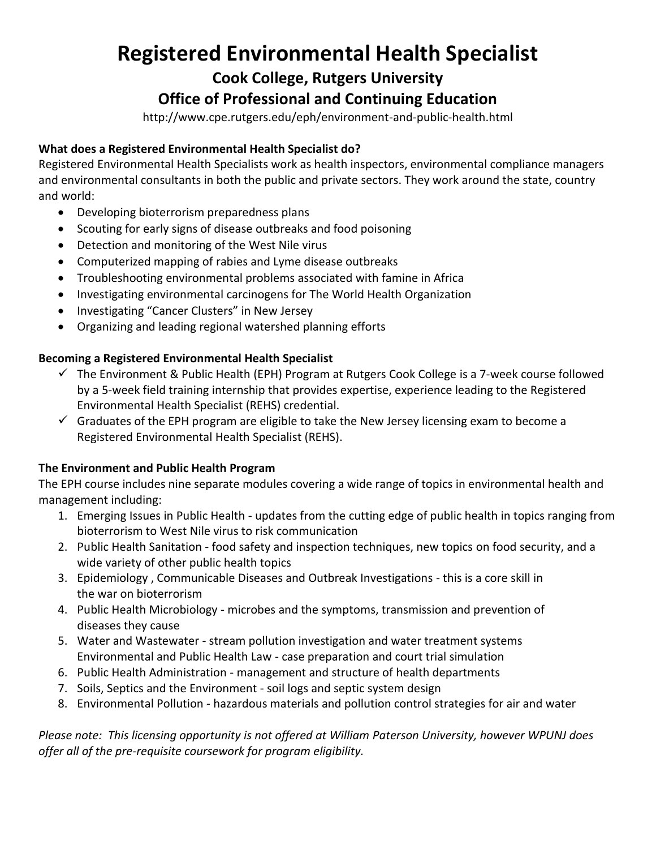# **Registered Environmental Health Specialist**

**Cook College, Rutgers University**

## **Office of Professional and Continuing Education**

http://www.cpe.rutgers.edu/eph/environment-and-public-health.html

#### **What does a Registered Environmental Health Specialist do?**

Registered Environmental Health Specialists work as health inspectors, environmental compliance managers and environmental consultants in both the public and private sectors. They work around the state, country and world:

- Developing bioterrorism preparedness plans
- Scouting for early signs of disease outbreaks and food poisoning
- Detection and monitoring of the West Nile virus
- Computerized mapping of rabies and Lyme disease outbreaks
- Troubleshooting environmental problems associated with famine in Africa
- Investigating environmental carcinogens for The World Health Organization
- Investigating "Cancer Clusters" in New Jersey
- Organizing and leading regional watershed planning efforts

#### **Becoming a Registered Environmental Health Specialist**

- $\checkmark$  The Environment & Public Health (EPH) Program at Rutgers Cook College is a 7-week course followed by a 5-week field training internship that provides expertise, experience leading to the Registered Environmental Health Specialist (REHS) credential.
- $\checkmark$  Graduates of the EPH program are eligible to take the New Jersey licensing exam to become a Registered Environmental Health Specialist (REHS).

#### **The Environment and Public Health Program**

The EPH course includes nine separate modules covering a wide range of topics in environmental health and management including:

- 1. Emerging Issues in Public Health updates from the cutting edge of public health in topics ranging from bioterrorism to West Nile virus to risk communication
- 2. Public Health Sanitation food safety and inspection techniques, new topics on food security, and a wide variety of other public health topics
- 3. Epidemiology , Communicable Diseases and Outbreak Investigations this is a core skill in the war on bioterrorism
- 4. Public Health Microbiology microbes and the symptoms, transmission and prevention of diseases they cause
- 5. Water and Wastewater stream pollution investigation and water treatment systems Environmental and Public Health Law - case preparation and court trial simulation
- 6. Public Health Administration management and structure of health departments
- 7. Soils, Septics and the Environment soil logs and septic system design
- 8. Environmental Pollution hazardous materials and pollution control strategies for air and water

*Please note: This licensing opportunity is not offered at William Paterson University, however WPUNJ does offer all of the pre-requisite coursework for program eligibility.*